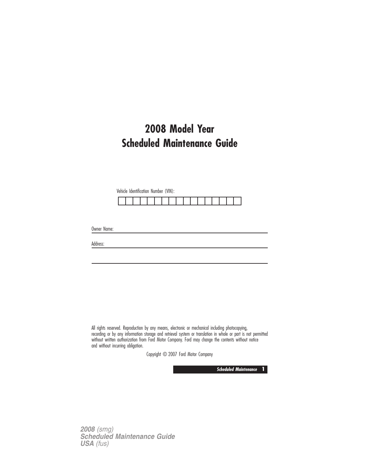# **2008 Model Year Scheduled Maintenance Guide**

Vehicle Identification Number (VIN):

Owner Name:

Address:

All rights reserved. Reproduction by any means, electronic or mechanical including photocopying, recording or by any information storage and retrieval system or translation in whole or part is not permitted without written authorization from Ford Motor Company. Ford may change the contents without notice and without incurring obligation.

Copyright © 2007 Ford Motor Company

**Scheduled Maintenance 1**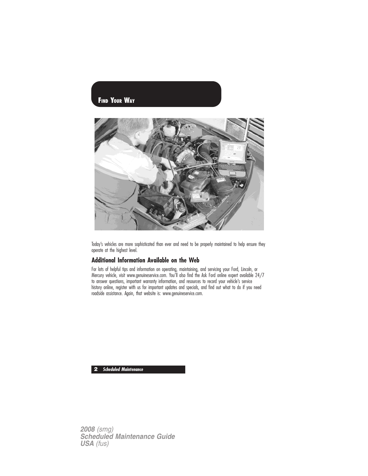# **FIND YOUR WAY**



Today's vehicles are more sophisticated than ever and need to be properly maintained to help ensure they operate at the highest level.

### **Additional Information Available on the Web**

For lots of helpful tips and information on operating, maintaining, and servicing your Ford, Lincoln, or Mercury vehicle, visit www.genuineservice.com. You'll also find the Ask Ford online expert available 24/7 to answer questions, important warranty information, and resources to record your vehicle's service history online, register with us for important updates and specials, and find out what to do if you need roadside assistance. Again, that website is: www.genuineservice.com.

**2 Scheduled Maintenance**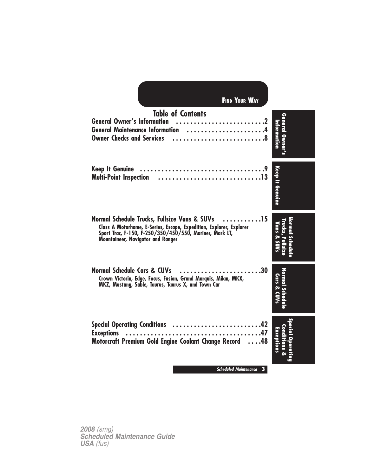| <b>FIND YOUR WAY</b>                                                                                                                                                                                                        |                               |
|-----------------------------------------------------------------------------------------------------------------------------------------------------------------------------------------------------------------------------|-------------------------------|
| <b>Table of Contents</b><br>General Owner's Information 2<br>General Maintenance Information 4<br>Owner Checks and Services 8                                                                                               | <b>General</b><br>Intormation |
| <b>Keep It Genuine</b>                                                                                                                                                                                                      | Keep It Genuine               |
| . 15<br>Normal Schedule Trucks, Fullsize Vans & SUVs<br>Class A Motorhome, E-Series, Escape, Expedition, Explorer, Explorer<br>Sport Trac, F-150, F-250/350/450/550, Mariner, Mark LT,<br>Mountaineer, Navigator and Ranger | Vans<br>ç,                    |
| <b>Normal Schedule Cars &amp; CUVs</b><br>Crown Victoria, Edge, Focus, Fusion, Grand Marquis, Milan, MKX,<br>MKZ, Mustang, Sable, Taurus, Taurus X, and Town Car                                                            | Cars & CUVs                   |
| Special Operating Conditions 42<br><b>Exceptions</b><br>Motorcraft Premium Gold Engine Coolant Change Record<br>$\ldots$ .48                                                                                                |                               |
| <b>Scheduled Maintenance</b><br>3                                                                                                                                                                                           |                               |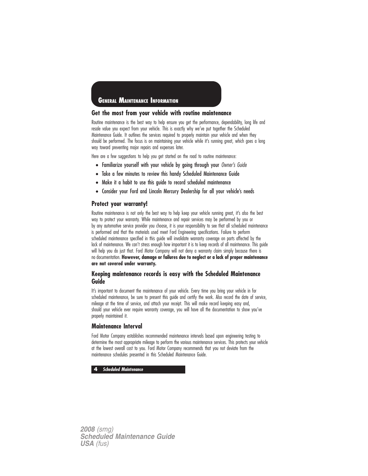## **GENERAL MAINTENANCE INFORMATION**

#### **Get the most from your vehicle with routine maintenance**

Routine maintenance is the best way to help ensure you get the performance, dependability, long life and resale value you expect from your vehicle. This is exactly why we've put together the Scheduled Maintenance Guide. It outlines the services required to properly maintain your vehicle and when they should be performed. The focus is on maintaining your vehicle while it's running great, which goes a long way toward preventing major repairs and expenses later.

Here are a few suggestions to help you get started on the road to routine maintenance:

- Familiarize yourself with your vehicle by going through your Owner's Guide
- Take a few minutes to review this handy Scheduled Maintenance Guide
- Make it a habit to use this guide to record scheduled maintenance
- Consider your Ford and Lincoln Mercury Dealership for all your vehicle's needs

#### **Protect your warranty!**

Routine maintenance is not only the best way to help keep your vehicle running great, it's also the best way to protect your warranty. While maintenance and repair services may be performed by you or by any automotive service provider you choose, it is your responsibility to see that all scheduled maintenance is performed and that the materials used meet Ford Engineering specifications. Failure to perform scheduled maintenance specified in this guide will invalidate warranty coverage on parts affected by the lack of maintenance. We can't stress enough how important it is to keep records of all maintenance. This guide will help you do just that. Ford Motor Company will not deny a warranty claim simply because there is no documentation. **However, damage or failures due to neglect or a lack of proper maintenance are not covered under warranty.**

## **Keeping maintenance records is easy with the Scheduled Maintenance Guide**

It's important to document the maintenance of your vehicle. Every time you bring your vehicle in for scheduled maintenance, be sure to present this guide and certify the work. Also record the date of service, mileage at the time of service, and attach your receipt. This will make record keeping easy and, should your vehicle ever require warranty coverage, you will have all the documentation to show you've properly maintained it.

#### **Maintenance Interval**

Ford Motor Company establishes recommended maintenance intervals based upon engineering testing to determine the most appropriate mileage to perform the various maintenance services. This protects your vehicle at the lowest overall cost to you. Ford Motor Company recommends that you not deviate from the maintenance schedules presented in this Scheduled Maintenance Guide.

#### **4 Scheduled Maintenance**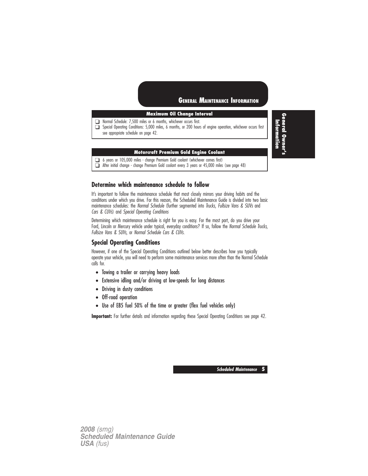## **GENERAL MAINTENANCE INFORMATION**

### **Maximum Oil Change Interval**

❑ Normal Schedule: 7,500 miles or 6 months, whichever occurs first.

❑ Special Operating Conditions: 5,000 miles, 6 months, or 200 hours of engine operation, whichever occurs first see appropriate schedule on page 42.

#### **Motorcraft Premium Gold Engine Coolant**

❑ 6 years or 105,000 miles - change Premium Gold coolant (whichever comes first)

❑ After initial change - change Premium Gold coolant every 3 years or 45,000 miles (see page 48)

## **Determine which maintenance schedule to follow**

It's important to follow the maintenance schedule that most closely mirrors your driving habits and the conditions under which you drive. For this reason, the Scheduled Maintenance Guide is divided into two basic maintenance schedules: the Normal Schedule (further segmented into Trucks, Fullsize Vans & SUVs and Cars & CUVs) and Special Operating Conditions

Determining which maintenance schedule is right for you is easy. For the most part, do you drive your Ford, Lincoln or Mercury vehicle under typical, everyday conditions? If so, follow the Normal Schedule Trucks, Fullsize Vans & SUVs, or Normal Schedule Cars & CUVs.

#### **Special Operating Conditions**

However, if one of the Special Operating Conditions outlined below better describes how you typically operate your vehicle, you will need to perform some maintenance services more often than the Normal Schedule calls for.

- Towing a trailer or carrying heavy loads
- Extensive idling and/or driving at low-speeds for long distances
- Driving in dusty conditions
- Off-road operation
- Use of E85 fuel 50% of the time or greater (flex fuel vehicles only)

**Important:** For further details and information regarding these Special Operating Conditions see page 42.

**Scheduled Maintenance 5**

*2008 (smg) Scheduled Maintenance Guide USA (fus)*

**General Owner's** Information **Information**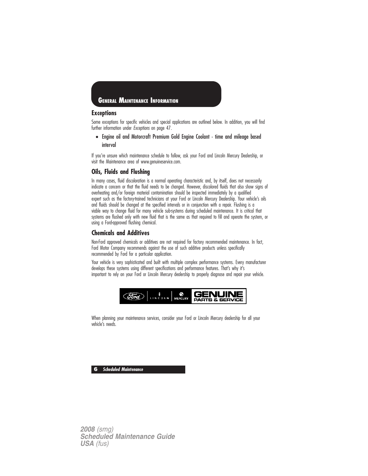

#### **Exceptions**

Some exceptions for specific vehicles and special applications are outlined below. In addition, you will find further information under Exceptions on page 47.

• Engine oil and Motorcraft Premium Gold Engine Coolant - time and mileage based interval

If you're unsure which maintenance schedule to follow, ask your Ford and Lincoln Mercury Dealership, or visit the Maintenance area of www.genuineservice.com.

#### **Oils, Fluids and Flushing**

In many cases, fluid discoloration is a normal operating characteristic and, by itself, does not necessarily indicate a concern or that the fluid needs to be changed. However, discolored fluids that also show signs of overheating and/or foreign material contamination should be inspected immediately by a qualified expert such as the factory-trained technicians at your Ford or Lincoln Mercury Dealership. Your vehicle's oils and fluids should be changed at the specified intervals or in conjunction with a repair. Flushing is a viable way to change fluid for many vehicle sub-systems during scheduled maintenance. It is critical that systems are flushed only with new fluid that is the same as that required to fill and operate the system, or using a Ford-approved flushing chemical.

#### **Chemicals and Additives**

Non-Ford approved chemicals or additives are not required for factory recommended maintenance. In fact, Ford Motor Company recommends against the use of such additive products unless specifically recommended by Ford for a particular application.

Your vehicle is very sophisticated and built with multiple complex performance systems. Every manufacturer develops these systems using different specifications and performance features. That's why it's important to rely on your Ford or Lincoln Mercury dealership to properly diagnose and repair your vehicle.



When planning your maintenance services, consider your Ford or Lincoln Mercury dealership for all your vehicle's needs.

**6 Scheduled Maintenance**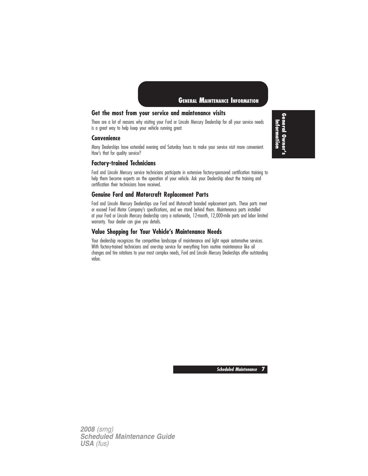

## **Get the most from your service and maintenance visits**

There are a lot of reasons why visiting your Ford or Lincoln Mercury Dealership for all your service needs is a great way to help keep your vehicle running great.

#### **Convenience**

Many Dealerships have extended evening and Saturday hours to make your service visit more convenient. How's that for quality service?

#### **Factory-trained Technicians**

Ford and Lincoln Mercury service technicians participate in extensive factory-sponsored certification training to help them become experts on the operation of your vehicle. Ask your Dealership about the training and certification their technicians have received.

### **Genuine Ford and Motorcraft Replacement Parts**

Ford and Lincoln Mercury Dealerships use Ford and Motorcraft branded replacement parts. These parts meet or exceed Ford Motor Company's specifications, and we stand behind them. Maintenance parts installed at your Ford or Lincoln Mercury dealership carry a nationwide, 12-month, 12,000-mile parts and labor limited warranty. Your dealer can give you details.

### **Value Shopping for Your Vehicle's Maintenance Needs**

Your dealership recognizes the competitive landscape of maintenance and light repair automotive services. With factory-trained technicians and one-stop service for everything from routine maintenance like oil changes and tire rotations to your most complex needs, Ford and Lincoln Mercury Dealerships offer outstanding value.

**General Owner's** Information **Information**

**Scheduled Maintenance 7**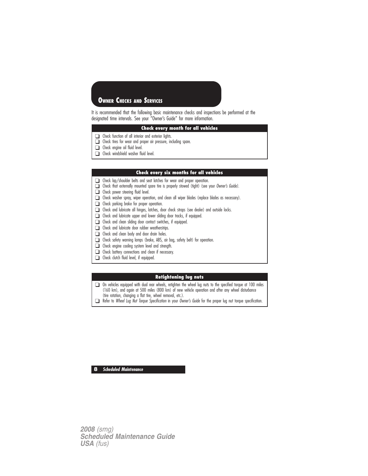## **OWNER CHECKS AND SERVICES**

It is recommended that the following basic maintenance checks and inspections be performed at the designated time intervals. See your "Owner's Guide" for more information.

#### **Check every month for all vehicles**

- ❑ Check function of all interior and exterior lights.
- ❑ Check tires for wear and proper air pressure, including spare.
- ❑ Check engine oil fluid level.
- ❑ Check windshield washer fluid level.

#### **Check every six months for all vehicles**

- ❑ Check lap/shoulder belts and seat latches for wear and proper operation.
- ❑ Check that externally mounted spare tire is properly stowed (tight) (see your Owner's Guide).
- ❑ Check power steering fluid level.
- ❑ Check washer spray, wiper operation, and clean all wiper blades (replace blades as necessary).
- ❑ Check parking brake for proper operation.
- ❑ Check and lubricate all hinges, latches, door check straps (see dealer) and outside locks.
- ❑ Check and lubricate upper and lower sliding door tracks, if equipped.
- ❑ Check and clean sliding door contact switches, if equipped.
- ❑ Check and lubricate door rubber weatherstrips.
- ❑ Check and clean body and door drain holes.
- ❑ Check safety warning lamps (brake, ABS, air bag, safety belt) for operation.
- ❑ Check engine cooling system level and strength.
- ❑ Check battery connections and clean if necessary.
- ❑ Check clutch fluid level, if equipped.

### **Retightening lug nuts**

❑ On vehicles equipped with dual rear wheels, retighten the wheel lug nuts to the specified torque at 100 miles (160 km), and again at 500 miles (800 km) of new vehicle operation and after any wheel disturbance (tire rotation, changing a flat tire, wheel removal, etc.).

❑ Refer to Wheel Lug Nut Torque Specification in your Owner's Guide for the proper lug nut torque specification.

**8 Scheduled Maintenance**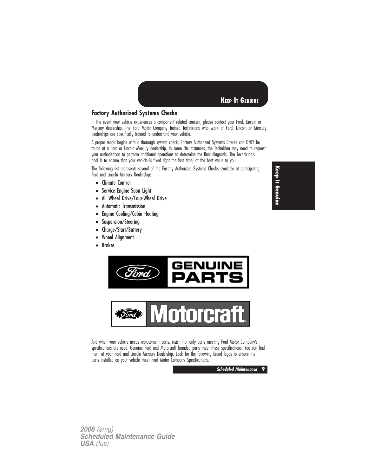

## **Factory Authorized Systems Checks**

In the event your vehicle experiences a component related concern, please contact your Ford, Lincoln or Mercury dealership. The Ford Motor Company Trained Technicians who work at Ford, Lincoln or Mercury dealerships are specifically trained to understand your vehicle.

A proper repair begins with a thorough system check. Factory Authorized Systems Checks can ONLY be found at a Ford or Lincoln Mercury dealership. In some circumstances, the Technician may need to request your authorization to perform additional operations to determine the final diagnosis. The Technician's goal is to ensure that your vehicle is fixed right the first time, at the best value to you.

The following list represents several of the Factory Authorized Systems Checks available at participating Ford and Lincoln Mercury Dealerships:

- Climate Control
- Service Engine Soon Light
- All Wheel Drive/Four-Wheel Drive
- Automatic Transmission
- Engine Cooling/Cabin Heating
- Suspension/Steering<br>• Charae/Start/Battery
- Charge/Start/Battery
- Wheel Alignment
- Brakes





And when your vehicle needs replacement parts, insist that only parts meeting Ford Motor Company's specifications are used. Genuine Ford and Motorcraft branded parts meet these specifications. You can find them at your Ford and Lincoln Mercury Dealership. Look for the following brand logos to ensure the parts installed on your vehicle meet Ford Motor Company Specifications.



*2008 (smg) Scheduled Maintenance Guide USA (fus)*

**Keep It Genuine**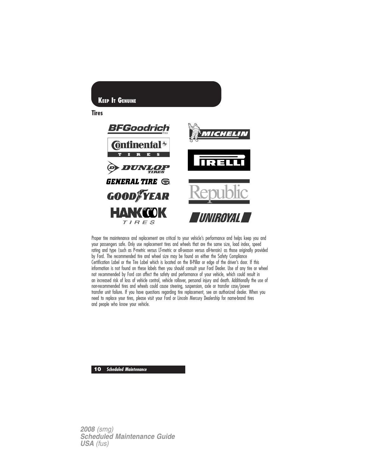

Proper tire maintenance and replacement are critical to your vehicle's performance and helps keep you and your passengers safe. Only use replacement tires and wheels that are the same size, load index, speed rating and type (such as P-metric versus LT-metric or all-season versus all-terrain) as those originally provided by Ford. The recommended tire and wheel size may be found on either the Safety Compliance Certification Label or the Tire Label which is located on the B-Pillar or edge of the driver's door. If this information is not found on these labels then you should consult your Ford Dealer. Use of any tire or wheel not recommended by Ford can affect the safety and performance of your vehicle, which could result in an increased risk of loss of vehicle control, vehicle rollover, personal injury and death. Additionally the use of non-recommended tires and wheels could cause steering, suspension, axle or transfer case/power transfer unit failure. If you have questions regarding tire replacement, see an authorized dealer. When you need to replace your tires, please visit your Ford or Lincoln Mercury Dealership for name-brand tires and people who know your vehicle.

**10 Scheduled Maintenance**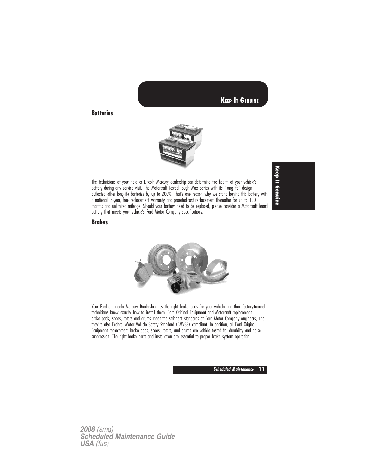

**Batteries**



The technicians at your Ford or Lincoln Mercury dealership can determine the health of your vehicle's battery during any service visit. The Motorcraft Tested Tough Max Series with its "long-life" design outlasted other long-life batteries by up to 200%. That's one reason why we stand behind this battery with a national, 3-year, free replacement warranty and prorated-cost replacement thereafter for up to 100 months and unlimited mileage. Should your battery need to be replaced, please consider a Motorcraft brand battery that meets your vehicle's Ford Motor Company specifications.

**Keep It Genuine**

### **Brakes**



Your Ford or Lincoln Mercury Dealership has the right brake parts for your vehicle and their factory-trained technicians know exactly how to install them. Ford Original Equipment and Motorcraft replacement brake pads, shoes, rotors and drums meet the stringent standards of Ford Motor Company engineers, and they're also Federal Motor Vehicle Safety Standard (FMVSS) compliant. In addition, all Ford Original Equipment replacement brake pads, shoes, rotors, and drums are vehicle tested for durability and noise suppression. The right brake parts and installation are essential to proper brake system operation.

**Scheduled Maintenance 11**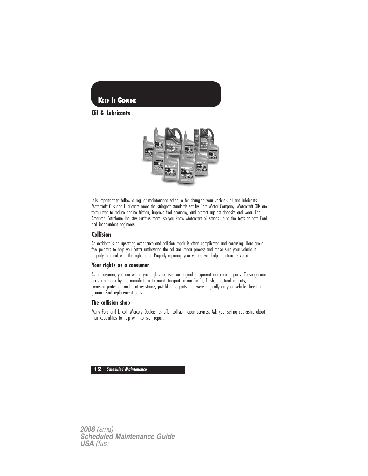

**Oil & Lubricants**



It is important to follow a regular maintenance schedule for changing your vehicle's oil and lubricants. Motorcraft Oils and Lubricants meet the stringent standards set by Ford Motor Company. Motorcraft Oils are formulated to reduce engine friction, improve fuel economy, and protect against deposits and wear. The American Petroleum Industry certifies them, so you know Motorcraft oil stands up to the tests of both Ford and independent engineers.

#### **Collision**

An accident is an upsetting experience and collision repair is often complicated and confusing. Here are a few pointers to help you better understand the collision repair process and make sure your vehicle is properly repaired with the right parts. Properly repairing your vehicle will help maintain its value.

#### **Your rights as a consumer**

As a consumer, you are within your rights to insist on original equipment replacement parts. These genuine parts are made by the manufacturer to meet stringent criteria for fit, finish, structural integrity, corrosion protection and dent resistance, just like the parts that were originally on your vehicle. Insist on genuine Ford replacement parts.

#### **The collision shop**

Many Ford and Lincoln Mercury Dealerships offer collision repair services. Ask your selling dealership about their capabilities to help with collision repair.

**12 Scheduled Maintenance**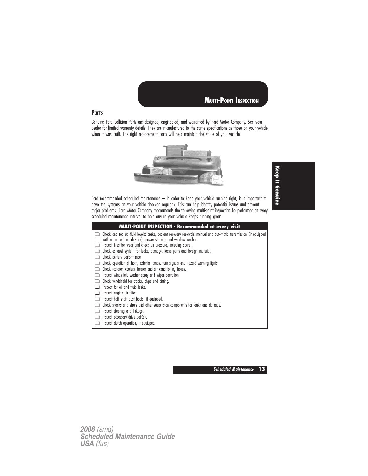

#### **Parts**

Genuine Ford Collision Parts are designed, engineered, and warranted by Ford Motor Company. See your dealer for limited warranty details. They are manufactured to the same specifications as those on your vehicle when it was built. The right replacement parts will help maintain the value of your vehicle.



**Keep It Genuine**

Ford recommended scheduled maintenance – In order to keep your vehicle running right, it is important to have the systems on your vehicle checked regularly. This can help identify potential issues and prevent major problems. Ford Motor Company recommends the following multi-point inspection be performed at every scheduled maintenance interval to help ensure your vehicle keeps running great.

| <b>MULTI-POINT INSPECTION - Recommended at every visit</b>                                                                                                                                                                                           |
|------------------------------------------------------------------------------------------------------------------------------------------------------------------------------------------------------------------------------------------------------|
| Check and top up fluid levels: brake, coolant recovery reservoir, manual and automatic transmission (if equipped<br>with an underhood dipstick), power steering and window washer<br>Inspect tires for wear and check air pressure, including spare. |
| Check exhaust system for leaks, damage, loose parts and foreign material.                                                                                                                                                                            |
| Check battery performance.                                                                                                                                                                                                                           |
| Check operation of horn, exterior lamps, turn signals and hazard warning lights.                                                                                                                                                                     |
| Check radiator, coolers, heater and air conditioning hoses.                                                                                                                                                                                          |
| Inspect windshield washer spray and wiper operation.                                                                                                                                                                                                 |
| Check windshield for cracks, chips and pitting.                                                                                                                                                                                                      |
| Inspect for oil and fluid leaks.                                                                                                                                                                                                                     |
| Inspect engine air filter.                                                                                                                                                                                                                           |
| Inspect half shaft dust boots, if equipped.                                                                                                                                                                                                          |
| Check shocks and struts and other suspension components for leaks and damage.                                                                                                                                                                        |
| Inspect steering and linkage.                                                                                                                                                                                                                        |
| Inspect accessory drive belt(s).                                                                                                                                                                                                                     |
| Inspect clutch operation, if equipped.                                                                                                                                                                                                               |

**Scheduled Maintenance 13**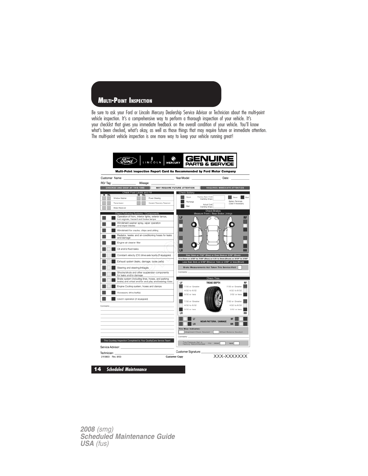## **MULTI-POINT INSPECTION**

Be sure to ask your Ford or Lincoln Mercury Dealership Service Advisor or Technician about the multi-point vehicle inspection. It's a comprehensive way to perform a thorough inspection of your vehicle. It's your checklist that gives you immediate feedback on the overall condition of your vehicle. You'll know what's been checked, what's okay, as well as those things that may require future or immediate attention. The multi-point vehicle inspection is one more way to keep your vehicle running great!

| Customer Name:                                                                                                                                                                                                                |                                                                                                          |                                             |                                                 | Date: and the state of the state of the state of the state of the state of the state of the state of the state of the state of the state of the state of the state of the state of the state of the state of the state of the |
|-------------------------------------------------------------------------------------------------------------------------------------------------------------------------------------------------------------------------------|----------------------------------------------------------------------------------------------------------|---------------------------------------------|-------------------------------------------------|-------------------------------------------------------------------------------------------------------------------------------------------------------------------------------------------------------------------------------|
| RO/ Tag:                                                                                                                                                                                                                      | Mileage:                                                                                                 |                                             |                                                 |                                                                                                                                                                                                                               |
| CHECKED AND OKAY AT THIS TIME                                                                                                                                                                                                 |                                                                                                          | MAY REQUIRE FUTURE ATTENTION                |                                                 | REQUIRES IMMEDIATE ATTENTION                                                                                                                                                                                                  |
| Check Fluid Levels and Fill<br>w nu                                                                                                                                                                                           | ाना                                                                                                      | Check Battery                               |                                                 |                                                                                                                                                                                                                               |
| Window Washer                                                                                                                                                                                                                 | Power Steering                                                                                           | Good                                        | Factory Spac Cold<br>Cranking Amps              | Good                                                                                                                                                                                                                          |
| Transmission                                                                                                                                                                                                                  | Coolant Recovery Reservoir                                                                               | Recharge                                    | Actual Cold                                     | Battery Terminals<br>(Clean if necessary)                                                                                                                                                                                     |
| Brake Reservoir                                                                                                                                                                                                               |                                                                                                          | Bad                                         | Cranking Amps<br>Check Brakes                   |                                                                                                                                                                                                                               |
| Check Following Systems / Components                                                                                                                                                                                          |                                                                                                          |                                             | Measure Front / Rear Brake Linings              |                                                                                                                                                                                                                               |
| turn signals, hazard and brake lamps                                                                                                                                                                                          | Operation of horn, interior lights, exterior lamps,                                                      | LF                                          |                                                 | <b>RF</b>                                                                                                                                                                                                                     |
| and wiper blades                                                                                                                                                                                                              | Windshield washer spray, wiper operation                                                                 |                                             |                                                 |                                                                                                                                                                                                                               |
|                                                                                                                                                                                                                               | Windshield for cracks, chips and pitting                                                                 |                                             |                                                 |                                                                                                                                                                                                                               |
| and damage                                                                                                                                                                                                                    | Radiator, heater, and air-conditioning hoses for leaks                                                   |                                             |                                                 |                                                                                                                                                                                                                               |
| Engine air cleaner filter                                                                                                                                                                                                     |                                                                                                          |                                             |                                                 |                                                                                                                                                                                                                               |
| Oil and/or fluid leaks                                                                                                                                                                                                        |                                                                                                          | LR                                          |                                                 |                                                                                                                                                                                                                               |
|                                                                                                                                                                                                                               | Constant velocity (CV) drive axle boots (if equipped).                                                   |                                             |                                                 | Over 5mm or 7/32" (Disc) or Over 2mm or 3/32" (Drum)<br>3 to 5mm or 4/32" to 7/32" (Disc) or 1.01 to 2mm (Drum) or 2/32" to 3/32"                                                                                             |
|                                                                                                                                                                                                                               | Exhaust system (leaks, damage; loose parts)                                                              |                                             |                                                 | Less than 3mm or 4/32" (Disc) or 1mm or 2/32" or less (Drum)                                                                                                                                                                  |
| Steering and steering Inkages.                                                                                                                                                                                                |                                                                                                          |                                             | Brake Measurements Not Taken This Service Visit |                                                                                                                                                                                                                               |
| for leaks and/or damage                                                                                                                                                                                                       | Shocks/struts and other suspension components                                                            | Comments.                                   |                                                 |                                                                                                                                                                                                                               |
|                                                                                                                                                                                                                               | Brake system (including lines, hoses, and parking<br>brake) and wheel end for end-play and bearing noise | LF                                          | Check Tires<br><b>TREAD DEPTH</b>               | RF                                                                                                                                                                                                                            |
|                                                                                                                                                                                                                               | Engine Cooling system, hoses and clamps                                                                  | 7/32 or Greater<br>4/32 to 6/32             |                                                 | 7/32 or Greater<br>4/32 to 6/32                                                                                                                                                                                               |
| Accessory drive belt(s)                                                                                                                                                                                                       |                                                                                                          | 3/32 or less                                |                                                 | 3/32 or less                                                                                                                                                                                                                  |
| Clutch operation (if equipped)                                                                                                                                                                                                |                                                                                                          | 7/32 or Organize                            |                                                 | 7/32 or Greater                                                                                                                                                                                                               |
| Comments:                                                                                                                                                                                                                     |                                                                                                          | 4/32 to 6/32                                |                                                 | 4/32 to 6/32                                                                                                                                                                                                                  |
|                                                                                                                                                                                                                               |                                                                                                          | 3/32 or less<br>LR                          |                                                 | 3/32 or less<br><b>RR</b>                                                                                                                                                                                                     |
|                                                                                                                                                                                                                               |                                                                                                          |                                             |                                                 |                                                                                                                                                                                                                               |
|                                                                                                                                                                                                                               |                                                                                                          | ΤF                                          | <b>WEAR PATTERN / DAMAGE</b>                    | <b>RF</b>                                                                                                                                                                                                                     |
|                                                                                                                                                                                                                               |                                                                                                          | <b>IR</b><br><b>Tire Wear Indicates:</b>    |                                                 | <b>RR</b>                                                                                                                                                                                                                     |
|                                                                                                                                                                                                                               |                                                                                                          |                                             | Alignment Check Needed                          | Wheel Balance Needed                                                                                                                                                                                                          |
|                                                                                                                                                                                                                               |                                                                                                          | Commente                                    |                                                 |                                                                                                                                                                                                                               |
| This Courtesy Inspection Completed by Your QualityCare Service Team!                                                                                                                                                          |                                                                                                          | Tire Pressure Set to<br>Factory Recommended | PSI<br>FRONT                                    | REAR                                                                                                                                                                                                                          |
| Service Advisor: The Contract of the Contract of the Contract of the Contract of the Contract of the Contract of the Contract of the Contract of the Contract of the Contract of the Contract of the Contract of the Contract |                                                                                                          | Customer Signature:                         |                                                 |                                                                                                                                                                                                                               |
| Technician:<br>2110803 Rev. 8/03                                                                                                                                                                                              |                                                                                                          | <b>Customer Copy</b>                        |                                                 | XXX-XXXXXXX                                                                                                                                                                                                                   |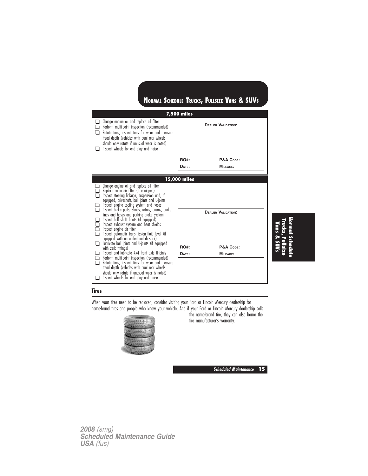|                                                                                                                                                                                                                                                                                                                                                                                                                                                                                                                                |                                                 | NORMAL SCHEDULE TRUCKS, FULLSIZE VANS & SUVS |  |  |  |  |
|--------------------------------------------------------------------------------------------------------------------------------------------------------------------------------------------------------------------------------------------------------------------------------------------------------------------------------------------------------------------------------------------------------------------------------------------------------------------------------------------------------------------------------|-------------------------------------------------|----------------------------------------------|--|--|--|--|
| Change engine oil and replace oil filter<br>Perform multi-point inspection (recommended)<br>Rotate tires, inspect tires for wear and measure<br>tread depth (vehicles with dual rear wheels<br>should only rotate if unusual wear is noted)<br>Inspect wheels for end play and noise                                                                                                                                                                                                                                           | <b>7,500 miles</b><br><b>DEALER VALIDATION:</b> |                                              |  |  |  |  |
|                                                                                                                                                                                                                                                                                                                                                                                                                                                                                                                                | <b>RO#:</b><br>DATE:                            | P&A CODE:<br><b>MILEAGE:</b>                 |  |  |  |  |
| Change engine oil and replace oil filter<br>Replace cabin air filter (if equipped)<br>Inspect steering linkage, suspension and, if<br>equipped, driveshaft, ball joints and U-joints<br>Inspect engine cooling system and hoses<br>Inspect brake pads, shoes, rotors, drums, brake<br>❏<br>lines and hoses and parking brake system.<br>Inspect half shaft boots (if equipped)<br>$\mathbf{L}$<br>Inspect exhaust system and heat shields<br>Inspect engine air filter<br>Inspect automatic transmission fluid level (if<br>П. |                                                 | <b>DEALER VALIDATION:</b>                    |  |  |  |  |
| equipped with an underhood dipstick)<br>Lubricate ball joints and U-joints (if equipped<br>□<br>with zerk fittings)<br>Inspect and lubricate 4x4 front axle U-joints<br>Perform multi-point inspection (recommended)<br>Rotate tires, inspect tires for wear and measure<br>$\Box$<br>tread depth (vehicles with dual rear wheels<br>should only rotate if unusual wear is noted)<br>Inspect wheels for end play and noise                                                                                                     | RO#:<br>DATE:                                   | P&A CODE:<br><b>MILEAGE:</b>                 |  |  |  |  |

### **Tires**

When your tires need to be replaced, consider visiting your Ford or Lincoln Mercury dealership for name-brand tires and people who know your vehicle. And if your Ford or Lincoln Mercury dealership sells



the name-brand tire, they can also honor the tire manufacturer's warranty.

**Scheduled Maintenance 15**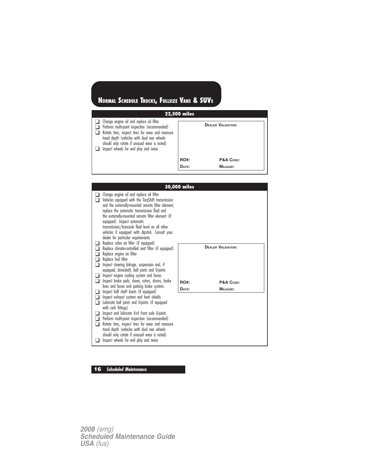| <b>22,500 miles</b>                                                                                                                                                                                                                                                                         |             |                           |  |  |  |  |  |
|---------------------------------------------------------------------------------------------------------------------------------------------------------------------------------------------------------------------------------------------------------------------------------------------|-------------|---------------------------|--|--|--|--|--|
| $\Box$ Change engine oil and replace oil filter<br>Perform multi-point inspection (recommended)<br>Rotate tires, inspect tires for wear and measure<br>tread depth (vehicles with dual rear wheels<br>should only rotate if unusual wear is noted)<br>Inspect wheels for end play and noise |             | <b>DEALER VALIDATION:</b> |  |  |  |  |  |
|                                                                                                                                                                                                                                                                                             | <b>RO#:</b> | P&A CODE:                 |  |  |  |  |  |
|                                                                                                                                                                                                                                                                                             | DATE:       | $MII$ FAGE:               |  |  |  |  |  |

|             |                                                                                                                                                                                                                                                                                                                                                                                                                                                                                | 30,000 miles |                           |
|-------------|--------------------------------------------------------------------------------------------------------------------------------------------------------------------------------------------------------------------------------------------------------------------------------------------------------------------------------------------------------------------------------------------------------------------------------------------------------------------------------|--------------|---------------------------|
|             | Change engine oil and replace oil filter<br>Vehicles equipped with the TorgShift transmission<br>and the externally-mounted remote filter element,<br>replace the automatic transmission fluid and<br>the externally-mounted remote filter element (if<br>equipped). Inspect automatic<br>transmission/transaxle fluid level on all other<br>vehicles if equipped with dipstick. Consult your<br>dealer for particular requirements.<br>Replace cabin air filter (if equipped) |              |                           |
| □<br>∩<br>❏ | Replace climate-controlled seat filter (if equipped)<br>Replace engine air filter<br>Replace fuel filter<br>Inspect steering linkage, suspension and, if<br>equipped, driveshaft, ball joints and U-joints<br>Inspect engine cooling system and hoses                                                                                                                                                                                                                          |              | <b>DEALER VALIDATION:</b> |
| □           | Inspect brake pads, shoes, rotors, drums, brake                                                                                                                                                                                                                                                                                                                                                                                                                                | <b>RO#:</b>  | P&A CODE:                 |
| ப           | lines and hoses and parking brake system.<br>Inspect half shaft boots (if equipped)                                                                                                                                                                                                                                                                                                                                                                                            | DATE:        | <b>MILEAGE:</b>           |
| □<br>⊓<br>n | Inspect exhaust system and heat shields<br>Lubricate ball joints and U-joints (if equipped<br>with zerk fittings)<br>Inspect and lubricate 4x4 front axle U-joints<br>Perform multi-point inspection (recommended)<br>Rotate tires, inspect tires for wear and measure<br>tread depth (vehicles with dual rear wheels<br>should only rotate if unusual wear is noted)<br>Inspect wheels for end play and noise                                                                 |              |                           |

# **16 Scheduled Maintenance**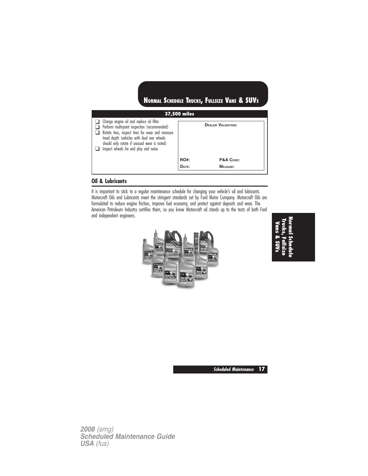| <b>37,500 miles</b>                                                                                                                                                                                                                                                                  |             |                           |  |  |  |  |
|--------------------------------------------------------------------------------------------------------------------------------------------------------------------------------------------------------------------------------------------------------------------------------------|-------------|---------------------------|--|--|--|--|
| Change engine oil and replace oil filter<br>Perform multi-point inspection (recommended)<br>Rotate tires, inspect tires for wear and measure<br>tread depth (vehicles with dual rear wheels<br>should only rotate if unusual wear is noted)<br>Inspect wheels for end play and noise |             | <b>DEALER VALIDATION:</b> |  |  |  |  |
|                                                                                                                                                                                                                                                                                      | <b>RO#:</b> | P&A CODE:                 |  |  |  |  |
|                                                                                                                                                                                                                                                                                      | DATE:       | MILEAGE:                  |  |  |  |  |

### **Oil & Lubricants**

It is important to stick to a regular maintenance schedule for changing your vehicle's oil and lubricants. Motorcraft Oils and Lubricants meet the stringent standards set by Ford Motor Company. Motorcraft Oils are formulated to reduce engine friction, improve fuel economy, and protect against deposits and wear. The American Petroleum Industry certifies them, so you know Motorcraft oil stands up to the tests of both Ford and independent engineers.



**NormalSchedule Trucks,Fullsize Vans&SUVs**

**Scheduled Maintenance 17**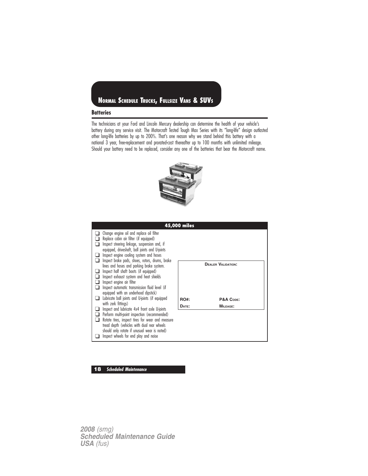#### **Batteries**

The technicians at your Ford and Lincoln Mercury dealership can determine the health of your vehicle's battery during any service visit. The Motorcraft Tested Tough Max Series with its "long-life" design outlasted other long-life batteries by up to 200%. That's one reason why we stand behind this battery with a national 3 year, free-replacement and prorated-cost thereafter up to 100 months with unlimited mileage. Should your battery need to be replaced, consider any one of the batteries that bear the Motorcraft name.



|                                                                                                                                                                                                                                                                                                                                                                                                                                                                                                                                                                                                                                                                                                                                                                                                                                                                                                                    | 45,000 miles         |                                                    |
|--------------------------------------------------------------------------------------------------------------------------------------------------------------------------------------------------------------------------------------------------------------------------------------------------------------------------------------------------------------------------------------------------------------------------------------------------------------------------------------------------------------------------------------------------------------------------------------------------------------------------------------------------------------------------------------------------------------------------------------------------------------------------------------------------------------------------------------------------------------------------------------------------------------------|----------------------|----------------------------------------------------|
| Change engine oil and replace oil filter<br>Replace cabin air filter (if equipped)<br>Inspect steering linkage, suspension and, if<br>equipped, driveshaft, ball joints and U-joints<br>Inspect engine cooling system and hoses<br>Inspect brake pads, shoes, rotors, drums, brake<br>lines and hoses and parking brake system.<br>Inspect half shaft boots (if equipped)<br>Inspect exhaust system and heat shields<br>Inspect engine air filter<br>Inspect automatic transmission fluid level (if<br>equipped with an underhood dipstick)<br>Lubricate ball joints and U-joints (if equipped<br>with zerk fittings)<br>Inspect and lubricate 4x4 front axle U-joints<br>Perform multi-point inspection (recommended)<br>Rotate tires, inspect tires for wear and measure<br>tread depth (vehicles with dual rear wheels<br>should only rotate if unusual wear is noted)<br>Inspect wheels for end play and noise | <b>RO#:</b><br>DATE: | <b>DEALER VALIDATION:</b><br>P&A CODE:<br>MILEAGE: |

### **18 Scheduled Maintenance**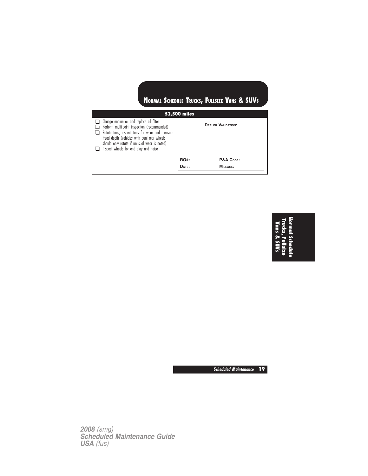| <b>52,500 miles</b>                                                                                                                                                                                                                                                                  |             |                           |  |  |  |  |  |
|--------------------------------------------------------------------------------------------------------------------------------------------------------------------------------------------------------------------------------------------------------------------------------------|-------------|---------------------------|--|--|--|--|--|
| Change engine oil and replace oil filter<br>Perform multi-point inspection (recommended)<br>Rotate tires, inspect tires for wear and measure<br>tread depth (vehicles with dual rear wheels<br>should only rotate if unusual wear is noted)<br>Inspect wheels for end play and noise |             | <b>DEALER VALIDATION:</b> |  |  |  |  |  |
|                                                                                                                                                                                                                                                                                      | <b>RO#:</b> | P&A CODE:                 |  |  |  |  |  |
|                                                                                                                                                                                                                                                                                      | DATE:       | <b>MILEAGE:</b>           |  |  |  |  |  |
|                                                                                                                                                                                                                                                                                      |             |                           |  |  |  |  |  |

# **Normal Schedule Trucks, Fullsize Vans & SUVs**

**Scheduled Maintenance 19**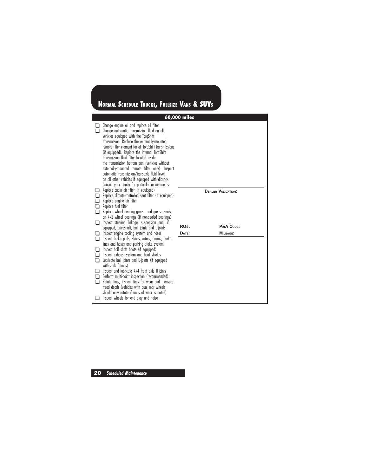#### **60,000 miles** ❑ Change engine oil and replace oil filter ❑ Change automatic transmission fluid on all vehicles equipped with the TorqShift transmission. Replace the externally-mounted remote filter element for all TorqShift transmissions (if equipped). Replace the internal TorqShift transmission fluid filter located inside the transmission bottom pan (vehicles without externally-mounted remote filter only). Inspect automatic transmission/transaxle fluid level on all other vehicles if equipped with dipstick. Consult your dealer for particular requirements. ❑ Replace cabin air filter (if equipped) ❑ Replace climate-controlled seat filter (if equipped) ❑ Replace engine air filter ❑ Replace fuel filter □ Replace wheel bearing grease and grease seals on 4x2 wheel bearings (if non-sealed bearings) ❑ Inspect steering linkage, suspension and, if equipped, driveshaft, ball joints and U-joints ❑ Inspect engine cooling system and hoses □ Inspect brake pads, shoes, rotors, drums, brake lines and hoses and parking brake system. ❑ Inspect half shaft boots (if equipped) ❑ Inspect exhaust system and heat shields ❑ Lubricate ball joints and U-joints (if equipped with zerk fittings) ❑ Inspect and lubricate 4x4 front axle U-joints □ Perform multi-point inspection (recommended) ❑ Rotate tires, inspect tires for wear and measure tread depth (vehicles with dual rear wheels should only rotate if unusual wear is noted) ❑ Inspect wheels for end play and noise **DEALER VALIDATION:** RO#: P&A Code: **DATE: MILEAGE: NORMAL SCHEDULE TRUCKS, FULLSIZE VANS & SUVS**

**20 Scheduled Maintenance**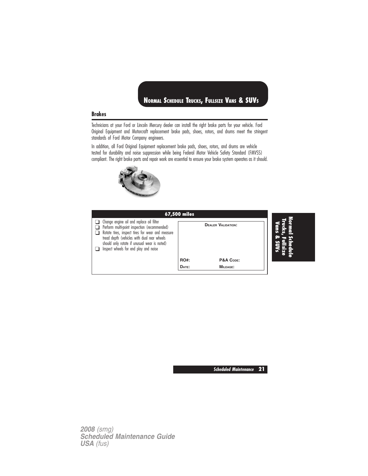#### **Brakes**

Technicians at your Ford or Lincoln Mercury dealer can install the right brake parts for your vehicle. Ford Original Equipment and Motorcraft replacement brake pads, shoes, rotors, and drums meet the stringent standards of Ford Motor Company engineers.

In addition, all Ford Original Equipment replacement brake pads, shoes, rotors, and drums are vehicle tested for durability and noise suppression while being Federal Motor Vehicle Safety Standard (FMVSS) compliant. The right brake parts and repair work are essential to ensure your brake system operates as it should.



| <b>67,500 miles</b>                                                                                                                                                                                                                                                                  |             |                           |  |
|--------------------------------------------------------------------------------------------------------------------------------------------------------------------------------------------------------------------------------------------------------------------------------------|-------------|---------------------------|--|
| Change engine oil and replace oil filter<br>Perform multi-point inspection (recommended)<br>Rotate tires, inspect tires for wear and measure<br>tread depth (vehicles with dual rear wheels<br>should only rotate if unusual wear is noted)<br>Inspect wheels for end play and noise |             | <b>DEALER VALIDATION:</b> |  |
|                                                                                                                                                                                                                                                                                      | <b>RO#:</b> | P&A CODE:                 |  |
|                                                                                                                                                                                                                                                                                      | DATE:       | <b>MILEAGE:</b>           |  |

**Scheduled Maintenance 21**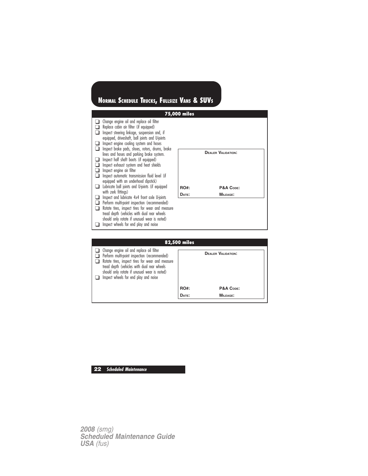

| <b>82,500 miles</b>                                                                                                                                                                                                                                                                  |             |                           |  |  |  |  |  |  |
|--------------------------------------------------------------------------------------------------------------------------------------------------------------------------------------------------------------------------------------------------------------------------------------|-------------|---------------------------|--|--|--|--|--|--|
| Change engine oil and replace oil filter<br>Perform multi-point inspection (recommended)<br>Rotate tires, inspect tires for wear and measure<br>tread depth (vehicles with dual rear wheels<br>should only rotate if unusual wear is noted)<br>Inspect wheels for end play and noise |             | <b>DEALER VALIDATION:</b> |  |  |  |  |  |  |
|                                                                                                                                                                                                                                                                                      | <b>RO#:</b> | P&A CODE:                 |  |  |  |  |  |  |
|                                                                                                                                                                                                                                                                                      | DATE:       | $MII$ FAGE:               |  |  |  |  |  |  |
|                                                                                                                                                                                                                                                                                      |             |                           |  |  |  |  |  |  |

### **22 Scheduled Maintenance**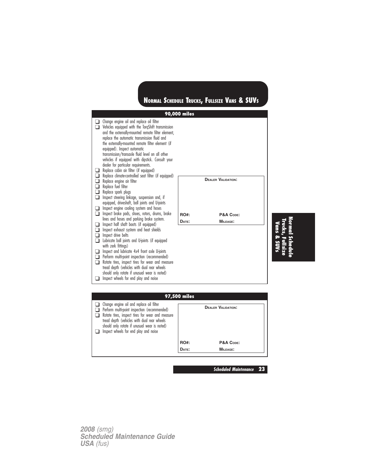

**97,500 miles** ❑ Change engine oil and replace oil filter ❑ Perform multi-point inspection (recommended) ❑ Rotate tires, inspect tires for wear and measure tread depth (vehicles with dual rear wheels should only rotate if unusual wear is noted) ❑ Inspect wheels for end play and noise **DEALER VALIDATION:** RO#: P&A Code: **DATE: MILEAGE:**

**Scheduled Maintenance 23**

**Normal**

**Trucks,**

**Fullsize Vans & SUVs**

**Schedule**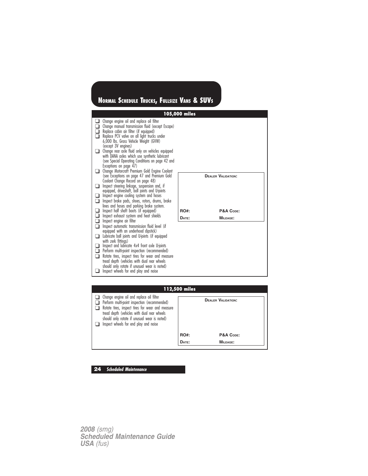|    |                                                                                                                                                                                                                                                                                                                                                                                                                                          | 105,000 miles |                           |
|----|------------------------------------------------------------------------------------------------------------------------------------------------------------------------------------------------------------------------------------------------------------------------------------------------------------------------------------------------------------------------------------------------------------------------------------------|---------------|---------------------------|
| ப  | Change engine oil and replace oil filter<br>Change manual transmission fluid (except Escape)<br>Replace cabin air filter (if equipped)<br>Replace PCV valve on all light trucks under<br>6,000 lbs. Gross Vehicle Weight (GVW)<br>(except 3V engines)<br>Change rear axle fluid only on vehicles equipped<br>with DANA axles which use synthetic lubricant<br>(see Special Operating Conditions on page 42 and<br>Exceptions on page 47) |               |                           |
| ∩  | Change Motorcraft Premium Gold Engine Coolant<br>(see Exceptions on page 47 and Premium Gold<br>Coolant Change Record on page 48)<br>Inspect steering linkage, suspension and, if<br>equipped, driveshaft, ball joints and U-joints<br>Inspect engine cooling system and hoses<br>Inspect brake pads, shoes, rotors, drums, brake<br>lines and hoses and parking brake system.                                                           |               | <b>DEALER VALIDATION:</b> |
| □  | Inspect half shaft boots (if equipped)                                                                                                                                                                                                                                                                                                                                                                                                   | <b>RO#:</b>   | P&A CODE:                 |
| ⊐  | Inspect exhaust system and heat shields<br>Inspect engine air filter                                                                                                                                                                                                                                                                                                                                                                     | DATE:         | <b>MILEAGE:</b>           |
| ∩  | Inspect automatic transmission fluid level (if                                                                                                                                                                                                                                                                                                                                                                                           |               |                           |
| ப  | equipped with an underhood dipstick)<br>Lubricate ball joints and U-joints (if equipped<br>with zerk fittings)                                                                                                                                                                                                                                                                                                                           |               |                           |
| n. | Inspect and lubricate 4x4 front axle U-joints<br>Perform multi-point inspection (recommended)<br>Rotate tires, inspect tires for wear and measure<br>tread depth (vehicles with dual rear wheels                                                                                                                                                                                                                                         |               |                           |
|    | should only rotate if unusual wear is noted)<br>Inspect wheels for end play and noise                                                                                                                                                                                                                                                                                                                                                    |               |                           |

| 112,500 miles                                                                                                                                                                                                                                                                        |             |                           |  |  |
|--------------------------------------------------------------------------------------------------------------------------------------------------------------------------------------------------------------------------------------------------------------------------------------|-------------|---------------------------|--|--|
| Change engine oil and replace oil filter<br>Perform multi-point inspection (recommended)<br>Rotate tires, inspect tires for wear and measure<br>tread depth (vehicles with dual rear wheels<br>should only rotate if unusual wear is noted)<br>Inspect wheels for end play and noise |             | <b>DEALER VALIDATION:</b> |  |  |
|                                                                                                                                                                                                                                                                                      | <b>RO#:</b> | P&A CODE:                 |  |  |
|                                                                                                                                                                                                                                                                                      | DATE:       | MILEAGE:                  |  |  |

**24 Scheduled Maintenance**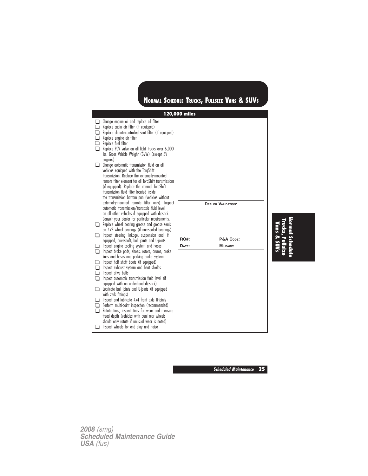

**Schedule**

**Scheduled Maintenance 25**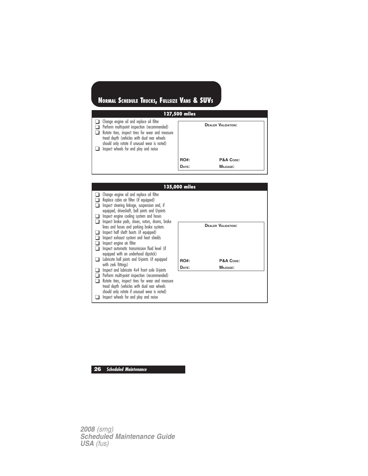| 127,500 miles                                                                                                                                                                                                                                                                               |             |                           |  |
|---------------------------------------------------------------------------------------------------------------------------------------------------------------------------------------------------------------------------------------------------------------------------------------------|-------------|---------------------------|--|
| $\Box$ Change engine oil and replace oil filter<br>Perform multi-point inspection (recommended)<br>Rotate tires, inspect tires for wear and measure<br>tread depth (vehicles with dual rear wheels<br>should only rotate if unusual wear is noted)<br>Inspect wheels for end play and noise |             | <b>DEALER VALIDATION:</b> |  |
|                                                                                                                                                                                                                                                                                             | <b>RO#:</b> | P&A CODE:                 |  |
|                                                                                                                                                                                                                                                                                             | DATE:       | <b>MILEAGE:</b>           |  |



**26 Scheduled Maintenance**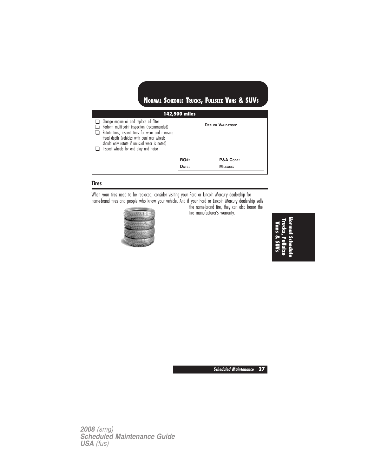| 142,500 miles                                                                                                                                                                                                                                                                        |             |                           |  |
|--------------------------------------------------------------------------------------------------------------------------------------------------------------------------------------------------------------------------------------------------------------------------------------|-------------|---------------------------|--|
| Change engine oil and replace oil filter<br>Perform multi-point inspection (recommended)<br>Rotate tires, inspect tires for wear and measure<br>tread depth (vehicles with dual rear wheels<br>should only rotate if unusual wear is noted)<br>Inspect wheels for end play and noise |             | <b>DEALER VALIDATION:</b> |  |
|                                                                                                                                                                                                                                                                                      | <b>RO#:</b> | P&A CODE:                 |  |
|                                                                                                                                                                                                                                                                                      | DATE:       | MILEAGE:                  |  |

## **Tires**

When your tires need to be replaced, consider visiting your Ford or Lincoln Mercury dealership for name-brand tires and people who know your vehicle. And if your Ford or Lincoln Mercury dealership sells



the name-brand tire, they can also honor the tire manufacturer's warranty.

> **NormalSchedule Trucks,Fullsize Vans & SUVs**

**Scheduled Maintenance 27**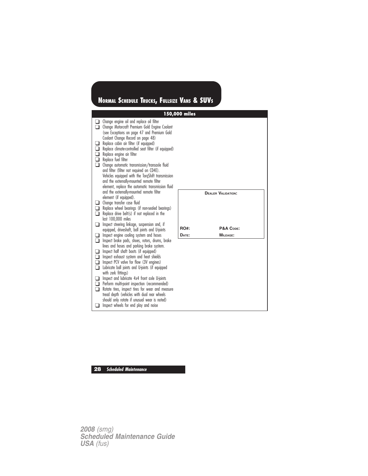

### **28 Scheduled Maintenance**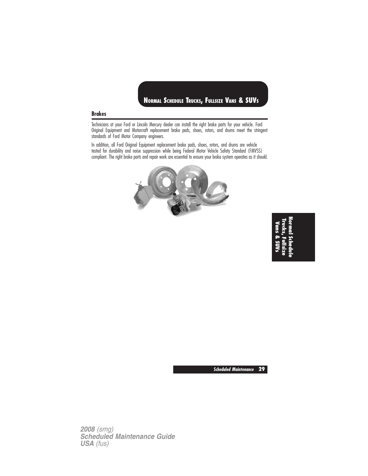### **Brakes**

Technicians at your Ford or Lincoln Mercury dealer can install the right brake parts for your vehicle. Ford Original Equipment and Motorcraft replacement brake pads, shoes, rotors, and drums meet the stringent standards of Ford Motor Company engineers.

In addition, all Ford Original Equipment replacement brake pads, shoes, rotors, and drums are vehicle tested for durability and noise suppression while being Federal Motor Vehicle Safety Standard (FMVSS) compliant. The right brake parts and repair work are essential to ensure your brake system operates as it should.



**NormalSchedule Trucks,Fullsize Vans&SUVs**

**Scheduled Maintenance 29**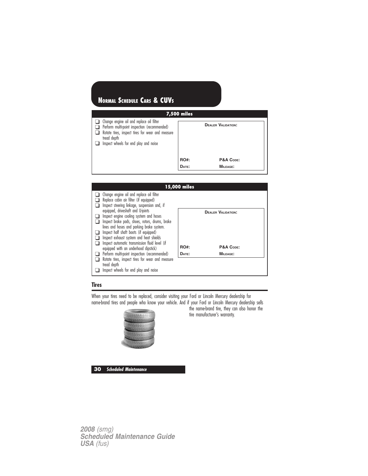| <b>7,500 miles</b>                                                                                                                                                                                   |             |                           |  |
|------------------------------------------------------------------------------------------------------------------------------------------------------------------------------------------------------|-------------|---------------------------|--|
| Change engine oil and replace oil filter<br>Perform multi-point inspection (recommended)<br>Rotate tires, inspect tires for wear and measure<br>tread depth<br>Inspect wheels for end play and noise |             | <b>DEALER VALIDATION:</b> |  |
|                                                                                                                                                                                                      | <b>RO#:</b> | P&A CODE:                 |  |
|                                                                                                                                                                                                      | DATE:       | MILEAGE:                  |  |



#### **Tires**

When your tires need to be replaced, consider visiting your Ford or Lincoln Mercury dealership for name-brand tires and people who know your vehicle. And if your Ford or Lincoln Mercury dealership sells



the name-brand tire, they can also honor the tire manufacturer's warranty.

**30 Scheduled Maintenance**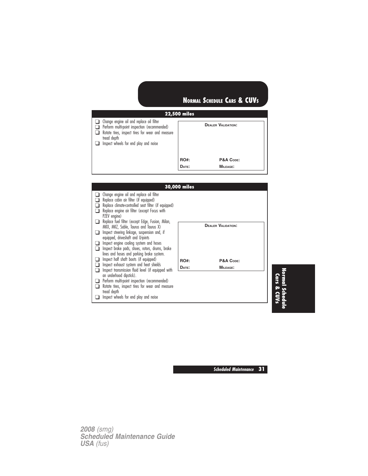### **22,500 miles** ❑ Change engine oil and replace oil filter ❑ Perform multi-point inspection (recommended) □ Rotate tires, inspect tires for wear and measure tread depth ❑ Inspect wheels for end play and noise **DEALER VALIDATION: RO#: P&A CODE: DATE: MILEAGE:**





**Scheduled Maintenance 31**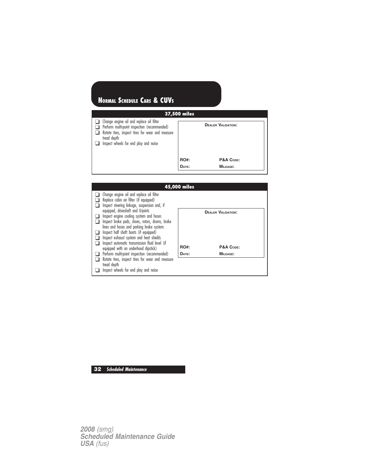| 37,500 miles                                                                                                                                                                                         |             |                           |  |  |
|------------------------------------------------------------------------------------------------------------------------------------------------------------------------------------------------------|-------------|---------------------------|--|--|
| Change engine oil and replace oil filter<br>Perform multi-point inspection (recommended)<br>Rotate tires, inspect tires for wear and measure<br>tread depth<br>Inspect wheels for end play and noise |             | <b>DEALER VALIDATION:</b> |  |  |
|                                                                                                                                                                                                      | <b>RO#:</b> | P&A CODE:                 |  |  |
|                                                                                                                                                                                                      | DATE:       | $MII$ FAGE:               |  |  |



**32 Scheduled Maintenance**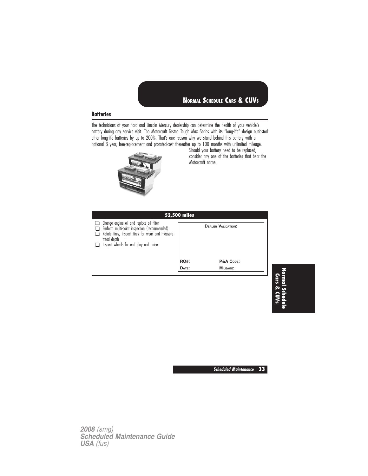#### **Batteries**

The technicians at your Ford and Lincoln Mercury dealership can determine the health of your vehicle's battery during any service visit. The Motorcraft Tested Tough Max Series with its "long-life" design outlasted other long-life batteries by up to 200%. That's one reason why we stand behind this battery with a national 3 year, free-replacement and prorated-cost thereafter up to 100 months with unlimited mileage.



Should your battery need to be replaced, consider any one of the batteries that bear the Motorcraft name.

| 52,500 miles |                           |  |  |  |
|--------------|---------------------------|--|--|--|
|              | <b>DEALER VALIDATION:</b> |  |  |  |
| <b>RO#:</b>  | P&A CODE:                 |  |  |  |
| DATE:        | MILEAGE:                  |  |  |  |
|              |                           |  |  |  |

**Normal Schedule Cars & CUVs**

**Scheduled Maintenance 33**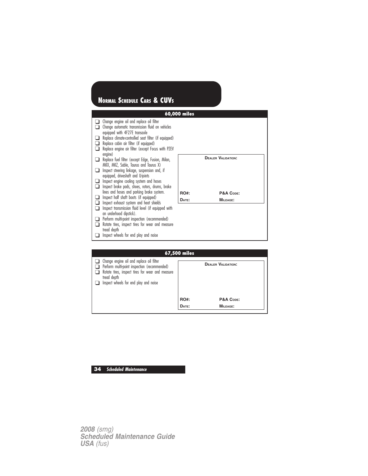|                |                                                                                                                                                                                                                                                                                                | 60,000 miles |                           |
|----------------|------------------------------------------------------------------------------------------------------------------------------------------------------------------------------------------------------------------------------------------------------------------------------------------------|--------------|---------------------------|
| ப              | Change engine oil and replace oil filter<br>Change automatic transmission fluid on vehicles<br>equipped with 4F27E transaxle<br>Replace climate-controlled seat filter (if equipped)<br>Replace cabin air filter (if equipped)<br>Replace engine air filter (except Focus with PZEV<br>engine) |              |                           |
| $\blacksquare$ | Replace fuel filter (except Edge, Fusion, Milan,<br>MKX, MKZ, Sable, Taurus and Taurus X)                                                                                                                                                                                                      |              | <b>DEALER VALIDATION:</b> |
|                | Inspect steering linkage, suspension and, if<br>equipped, driveshaft and U-joints                                                                                                                                                                                                              |              |                           |
| . .            | Inspect engine cooling system and hoses                                                                                                                                                                                                                                                        |              |                           |
|                | Inspect brake pads, shoes, rotors, drums, brake                                                                                                                                                                                                                                                |              |                           |
|                | lines and hoses and parking brake system.<br>Inspect half shaft boots (if equipped)                                                                                                                                                                                                            | RO#:         | P&A CODE:                 |
|                | Inspect exhaust system and heat shields                                                                                                                                                                                                                                                        | DATE:        | MILEAGE:                  |
|                | Inspect transmission fluid level (if equipped with<br>an underhood dipstick).                                                                                                                                                                                                                  |              |                           |
|                | Perform multi-point inspection (recommended)                                                                                                                                                                                                                                                   |              |                           |
|                | Rotate tires, inspect tires for wear and measure                                                                                                                                                                                                                                               |              |                           |
|                | tread depth<br>Inspect wheels for end play and noise                                                                                                                                                                                                                                           |              |                           |
|                |                                                                                                                                                                                                                                                                                                |              |                           |
|                |                                                                                                                                                                                                                                                                                                |              |                           |
|                |                                                                                                                                                                                                                                                                                                | 67,500 miles |                           |
|                | Change engine oil and replace oil filter                                                                                                                                                                                                                                                       |              |                           |

| <b>b</b> /,500 miles                                                                                                                                                                                 |             |                           |  |
|------------------------------------------------------------------------------------------------------------------------------------------------------------------------------------------------------|-------------|---------------------------|--|
| Change engine oil and replace oil filter<br>Perform multi-point inspection (recommended)<br>Rotate tires, inspect tires for wear and measure<br>tread depth<br>Inspect wheels for end play and noise |             | <b>DEALER VALIDATION:</b> |  |
|                                                                                                                                                                                                      | <b>RO#:</b> | P&A CODE:                 |  |
|                                                                                                                                                                                                      | DATE:       | <b>MILEAGE:</b>           |  |
|                                                                                                                                                                                                      |             |                           |  |

# **34 Scheduled Maintenance**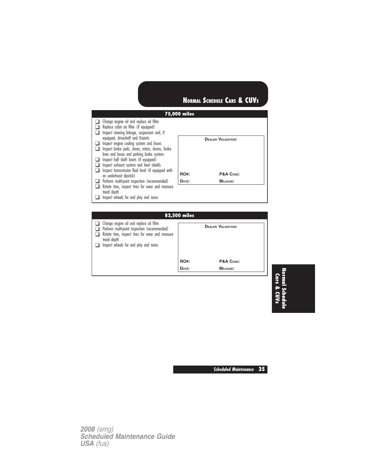

| <b>82,500 miles</b>                                                                                                                                                                                  |             |                           |  |
|------------------------------------------------------------------------------------------------------------------------------------------------------------------------------------------------------|-------------|---------------------------|--|
| Change engine oil and replace oil filter<br>Perform multi-point inspection (recommended)<br>Rotate tires, inspect tires for wear and measure<br>tread depth<br>Inspect wheels for end play and noise |             | <b>DEALER VALIDATION:</b> |  |
|                                                                                                                                                                                                      | <b>RO#:</b> | P&A CODE:                 |  |
|                                                                                                                                                                                                      | DATE:       | MILEAGE:                  |  |
|                                                                                                                                                                                                      |             |                           |  |

**Normal Schedule Cars & CUVs**

**Scheduled Maintenance 35**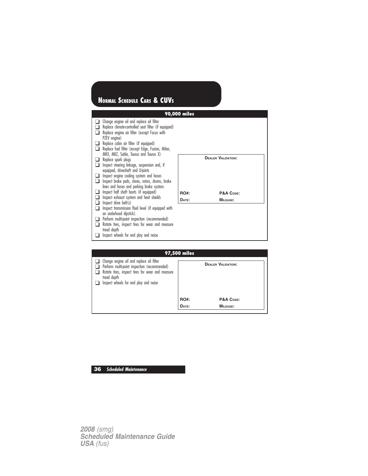|                     |                                                                                                                                                                                                                                                                                                                                                                                                                                                                                                                                                                                                                                                     | <b>90,000 miles</b> |                                        |
|---------------------|-----------------------------------------------------------------------------------------------------------------------------------------------------------------------------------------------------------------------------------------------------------------------------------------------------------------------------------------------------------------------------------------------------------------------------------------------------------------------------------------------------------------------------------------------------------------------------------------------------------------------------------------------------|---------------------|----------------------------------------|
| n<br>$\blacksquare$ | Change engine oil and replace oil filter<br>Replace climate-controlled seat filter (if equipped)<br>Replace engine air filter (except Focus with<br>PZEV engine)<br>Replace cabin air filter (if equipped)<br>Replace fuel filter (except Edge, Fusion, Milan,<br>MKX, MKZ, Sable, Taurus and Taurus X)<br>Replace spark plugs<br>Inspect steering linkage, suspension and, if<br>equipped, driveshaft and U-joints<br>Inspect engine cooling system and hoses<br>Inspect brake pads, shoes, rotors, drums, brake<br>lines and hoses and parking brake system.<br>Inspect half shaft boots (if equipped)<br>Inspect exhaust system and heat shields | <b>RO#:</b>         | <b>DEALER VALIDATION:</b><br>P&A CODE: |
|                     | Inspect drive belt(s)                                                                                                                                                                                                                                                                                                                                                                                                                                                                                                                                                                                                                               | DATE:               | MILEAGE:                               |
| $\blacksquare$      | Inspect transmission fluid level (if equipped with<br>an underhood dipstick).                                                                                                                                                                                                                                                                                                                                                                                                                                                                                                                                                                       |                     |                                        |
|                     | Perform multi-point inspection (recommended)                                                                                                                                                                                                                                                                                                                                                                                                                                                                                                                                                                                                        |                     |                                        |
|                     | Rotate tires, inspect tires for wear and measure<br>tread depth                                                                                                                                                                                                                                                                                                                                                                                                                                                                                                                                                                                     |                     |                                        |
|                     | Inspect wheels for end play and noise                                                                                                                                                                                                                                                                                                                                                                                                                                                                                                                                                                                                               |                     |                                        |
|                     |                                                                                                                                                                                                                                                                                                                                                                                                                                                                                                                                                                                                                                                     |                     |                                        |
|                     |                                                                                                                                                                                                                                                                                                                                                                                                                                                                                                                                                                                                                                                     | 97,500 miles        |                                        |

| <b>Y</b> <i>I</i> ,JUU miles                                                                                                                                                                         |             |                           |  |
|------------------------------------------------------------------------------------------------------------------------------------------------------------------------------------------------------|-------------|---------------------------|--|
| Change engine oil and replace oil filter<br>Perform multi-point inspection (recommended)<br>Rotate tires, inspect tires for wear and measure<br>tread depth<br>Inspect wheels for end play and noise |             | <b>DEALER VALIDATION:</b> |  |
|                                                                                                                                                                                                      | <b>RO#:</b> | P&A CODE:                 |  |
|                                                                                                                                                                                                      | DATE:       | <b>MILEAGE:</b>           |  |
|                                                                                                                                                                                                      |             |                           |  |

# **36 Scheduled Maintenance**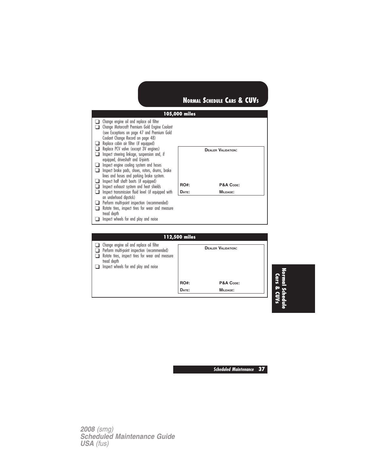

|                                                                                                                                                                                                      | <u>i i 2,500 miles</u> |                           |  |
|------------------------------------------------------------------------------------------------------------------------------------------------------------------------------------------------------|------------------------|---------------------------|--|
| Change engine oil and replace oil filter<br>Perform multi-point inspection (recommended)<br>Rotate tires, inspect tires for wear and measure<br>tread depth<br>Inspect wheels for end play and noise |                        | <b>DEALER VALIDATION:</b> |  |
|                                                                                                                                                                                                      | <b>RO#:</b>            | P&A CODE:                 |  |
|                                                                                                                                                                                                      | DATE:                  | <b>MILEAGE:</b>           |  |
|                                                                                                                                                                                                      |                        |                           |  |

**Normal Schedule Cars & CUVs**

**Scheduled Maintenance 37**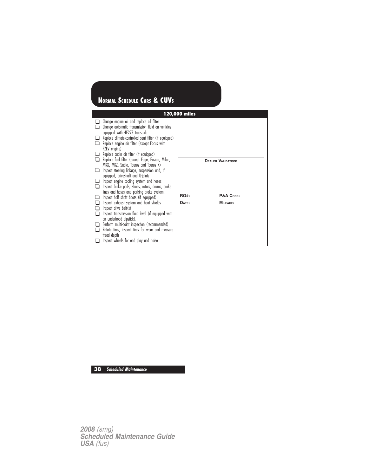|                |                                                                                                                                         | 120,000 miles |                           |
|----------------|-----------------------------------------------------------------------------------------------------------------------------------------|---------------|---------------------------|
|                | Change engine oil and replace oil filter<br>Change automatic transmission fluid on vehicles<br>equipped with 4F27E transaxle            |               |                           |
| ⊔              | Replace climate-controlled seat filter (if equipped)<br>Replace engine air filter (except Focus with<br>PZEV engine)                    |               |                           |
|                | Replace cabin air filter (if equipped)<br>Replace fuel filter (except Edge, Fusion, Milan,<br>MKX, MKZ, Sable, Taurus and Taurus X)     |               | <b>DEALER VALIDATION:</b> |
| ⊔              | Inspect steering linkage, suspension and, if<br>equipped, driveshaft and U-joints                                                       |               |                           |
| $\blacksquare$ | Inspect engine cooling system and hoses<br>Inspect brake pads, shoes, rotors, drums, brake<br>lines and hoses and parking brake system. |               |                           |
|                | Inspect half shaft boots (if equipped)                                                                                                  | RO#:          | P&A CODE:                 |
|                | Inspect exhaust system and heat shields                                                                                                 | DATE:         | MILEAGE:                  |
|                | Inspect drive belt(s)                                                                                                                   |               |                           |
|                | Inspect transmission fluid level (if equipped with<br>an underhood dipstick).                                                           |               |                           |
|                | Perform multi-point inspection (recommended)                                                                                            |               |                           |
|                | Rotate tires, inspect tires for wear and measure                                                                                        |               |                           |
|                | tread depth<br>Inspect wheels for end play and noise                                                                                    |               |                           |

**38 Scheduled Maintenance**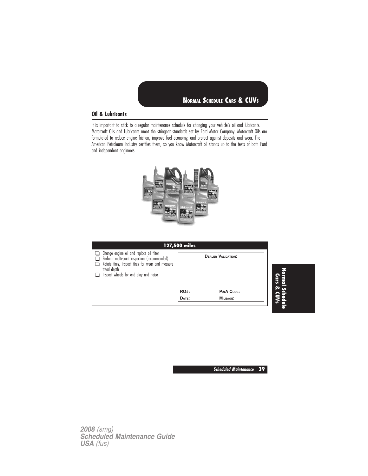## **Oil & Lubricants**

It is important to stick to a regular maintenance schedule for changing your vehicle's oil and lubricants. Motorcraft Oils and Lubricants meet the stringent standards set by Ford Motor Company. Motorcraft Oils are formulated to reduce engine friction, improve fuel economy, and protect against deposits and wear. The American Petroleum Industry certifies them, so you know Motorcraft oil stands up to the tests of both Ford and independent engineers.



|                                                                                                                                                                                                             | 127,500 miles        |                                                           |                                  |
|-------------------------------------------------------------------------------------------------------------------------------------------------------------------------------------------------------------|----------------------|-----------------------------------------------------------|----------------------------------|
| $\Box$ Change engine oil and replace oil filter<br>Perform multi-point inspection (recommended)<br>Rotate tires, inspect tires for wear and measure<br>tread depth<br>Inspect wheels for end play and noise | <b>RO#:</b><br>DATE: | <b>DEALER VALIDATION:</b><br>P&A CODE:<br><b>MILEAGE:</b> | Normal<br>Cars<br>l Sche<br>& CU |
|                                                                                                                                                                                                             |                      |                                                           |                                  |

**Scheduled Maintenance 39**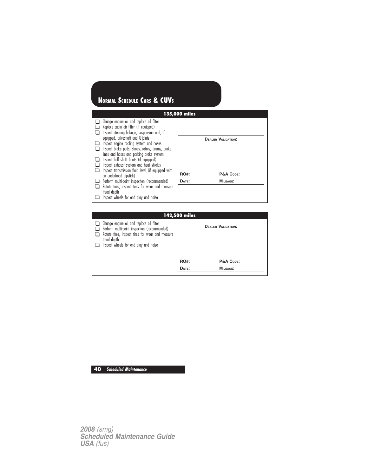

| 17 <i>4,</i> JVV 111163                                                                                                                                                                              |             |                           |
|------------------------------------------------------------------------------------------------------------------------------------------------------------------------------------------------------|-------------|---------------------------|
| Change engine oil and replace oil filter<br>Perform multi-point inspection (recommended)<br>Rotate tires, inspect tires for wear and measure<br>tread depth<br>Inspect wheels for end play and noise |             | <b>DEALER VALIDATION:</b> |
|                                                                                                                                                                                                      | <b>RO#:</b> | P&A CODE:                 |
|                                                                                                                                                                                                      | DATE:       | MILEAGE:                  |
|                                                                                                                                                                                                      |             |                           |

**40 Scheduled Maintenance**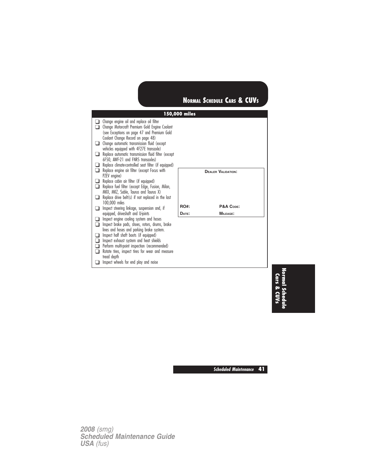|                                                                                                                                                                                                                                               | 150,000 miles |                           |
|-----------------------------------------------------------------------------------------------------------------------------------------------------------------------------------------------------------------------------------------------|---------------|---------------------------|
| Change engine oil and replace oil filter<br>Change Motorcraft Premium Gold Engine Coolant<br>(see Exceptions on page 47 and Premium Gold                                                                                                      |               |                           |
| Coolant Change Record on page 48)<br>Change automatic transmission fluid (except<br>vehicles equipped with 4F27E transaxle)                                                                                                                   |               |                           |
| Replace automatic transmission fluid filter (except<br>6F50, AWF-21 and FNR5 transaxles)<br>Replace climate-controlled seat filter (if equipped)                                                                                              |               |                           |
| Replace engine air filter (except Focus with<br>PZEV engine)                                                                                                                                                                                  |               | <b>DEALER VALIDATION:</b> |
| Replace cabin air filter (if equipped)<br>Replace fuel filter (except Edge, Fusion, Milan,<br>MKX, MKZ, Sable, Taurus and Taurus X)                                                                                                           |               |                           |
| Replace drive belt(s) if not replaced in the last<br>100,000 miles                                                                                                                                                                            | <b>RO#:</b>   | P&A CODE:                 |
| Inspect steering linkage, suspension and, if<br>equipped, driveshaft and U-joints                                                                                                                                                             | DATE:         | MILEAGE:                  |
| Inspect engine cooling system and hoses<br>Inspect brake pads, shoes, rotors, drums, brake<br>lines and hoses and parking brake system.                                                                                                       |               |                           |
| Inspect half shaft boots (if equipped)<br>Inspect exhaust system and heat shields<br>Perform multi-point inspection (recommended)<br>Rotate tires, inspect tires for wear and measure<br>tread depth<br>Inspect wheels for end play and noise |               |                           |

**Normal Schedule Cars & CUVs**

**Scheduled Maintenance 41**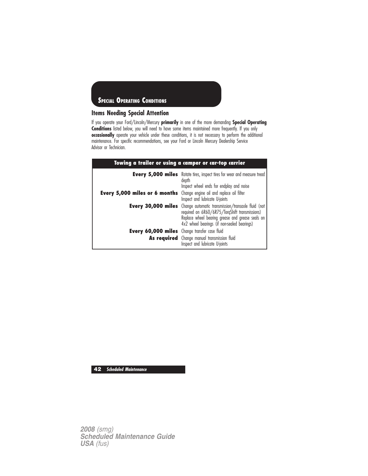

## **Items Needing Special Attention**

If you operate your Ford/Lincoln/Mercury **primarily** in one of the more demanding **Special Operating Conditions** listed below, you will need to have some items maintained more frequently. If you only **occasionally** operate your vehicle under these conditions, it is not necessary to perform the additional maintenance. For specific recommendations, see your Ford or Lincoln Mercury Dealership Service Advisor or Technician.

| Towing a trailer or using a camper or car-top carrier                         |                                                                                                                                                                                                                                   |  |
|-------------------------------------------------------------------------------|-----------------------------------------------------------------------------------------------------------------------------------------------------------------------------------------------------------------------------------|--|
|                                                                               | <b>Every 5,000 miles</b> Rotate tires, inspect tires for wear and measure tread<br>depth<br>Inspect wheel ends for endplay and noise                                                                                              |  |
| <b>Every 5,000 miles or 6 months</b> Change engine oil and replace oil filter | Inspect and lubricate U-joints                                                                                                                                                                                                    |  |
|                                                                               | <b>Every 30,000 miles</b> Change automatic transmission/transaxle fluid (not<br>required on 6R60/6R75/TorgShift transmissions)<br>Replace wheel bearing grease and grease seals on<br>4x2 wheel bearings (if non-sealed bearings) |  |
| <b>Every 60,000 miles</b> Change transfer case fluid                          | As required Change manual transmission fluid<br>Inspect and lubricate U-joints                                                                                                                                                    |  |

**42 Scheduled Maintenance**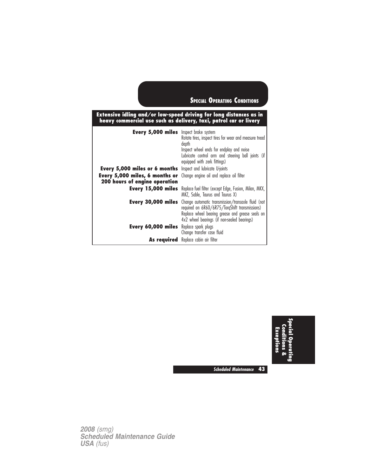|                                                                 | Extensive idling and/or low-speed driving for long distances as in<br>heavy commercial use such as delivery, taxi, patrol car or livery                                                                 |
|-----------------------------------------------------------------|---------------------------------------------------------------------------------------------------------------------------------------------------------------------------------------------------------|
| <b>Every 5,000 miles</b> Inspect brake system                   | Rotate tires, inspect tires for wear and measure tread<br>depth<br>Inspect wheel ends for endplay and noise<br>Lubricate control arm and steering ball joints (if<br>equipped with zerk fittings)       |
| Every 5,000 miles or 6 months                                   | Inspect and lubricate U-joints                                                                                                                                                                          |
| Every 5,000 miles, 6 months or<br>200 hours of engine operation | Change engine oil and replace oil filter                                                                                                                                                                |
| Every 15,000 miles                                              | Replace fuel filter (except Edge, Fusion, Milan, MKX,<br>MKZ, Sable, Taurus and Taurus X)                                                                                                               |
| Every 30,000 miles                                              | Change automatic transmission/transaxle fluid (not<br>required on 6R60/6R75/TorgShift transmissions)<br>Replace wheel bearing grease and grease seals on<br>4x2 wheel bearings (if non-sealed bearings) |
| Every 60,000 miles                                              | Replace spark plugs<br>Change transfer case fluid                                                                                                                                                       |
|                                                                 | <b>As required</b> Replace cabin air filter                                                                                                                                                             |

**Special Operating Conditions & Exceptions**

**Scheduled Maintenance 43**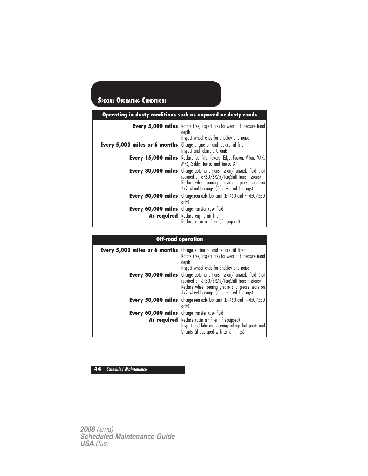| Operating in dusty conditions such as unpaved or dusty roads |                                                                                                                                                                                                                                   |  |
|--------------------------------------------------------------|-----------------------------------------------------------------------------------------------------------------------------------------------------------------------------------------------------------------------------------|--|
|                                                              | <b>Every 5,000 miles</b> Rotate tires, inspect tires for wear and measure tread<br>depth<br>Inspect wheel ends for endplay and noise                                                                                              |  |
| Every 5,000 miles or 6 months                                | Change engine oil and replace oil filter<br>Inspect and lubricate U-joints                                                                                                                                                        |  |
| Every 15,000 miles                                           | Replace fuel filter (except Edge, Fusion, Milan, MKX,<br>MKZ, Sable, Taurus and Taurus X)                                                                                                                                         |  |
|                                                              | <b>Every 30,000 miles</b> Change automatic transmission/transaxle fluid (not<br>required on 6R60/6R75/TorgShift transmissions)<br>Replace wheel bearing grease and grease seals on<br>4x2 wheel bearings (if non-sealed bearings) |  |
| Every 50,000 miles                                           | Change rear axle lubricant (E-450 and F-450/550<br>only)                                                                                                                                                                          |  |
| Every 60,000 miles Change transfer case fluid                |                                                                                                                                                                                                                                   |  |
|                                                              | As required Replace engine air filter<br>Replace cabin air filter (if equipped)                                                                                                                                                   |  |

# **Off-road operation**

| <b>Every 5,000 miles or 6 months</b> Change engine oil and replace oil filter | Rotate tires, inspect tires for wear and measure tread<br>depth<br>Inspect wheel ends for endplay and noise                                                                                                                       |
|-------------------------------------------------------------------------------|-----------------------------------------------------------------------------------------------------------------------------------------------------------------------------------------------------------------------------------|
|                                                                               | <b>Every 30,000 miles</b> Change automatic transmission/transaxle fluid (not<br>required on 6R60/6R75/TorqShift transmissions)<br>Replace wheel bearing grease and grease seals on<br>4x2 wheel bearings (if non-sealed bearings) |
|                                                                               | <b>Every 50,000 miles</b> Change rear axle lubricant $(E-450$ and $F-450/550$<br>only)                                                                                                                                            |
| Every 60,000 miles Change transfer case fluid                                 |                                                                                                                                                                                                                                   |
|                                                                               | As required Replace cabin air filter (if equipped)<br>Inspect and lubricate steering linkage ball joints and<br>U-joints (if equipped with zerk fittings)                                                                         |

# **44 Scheduled Maintenance**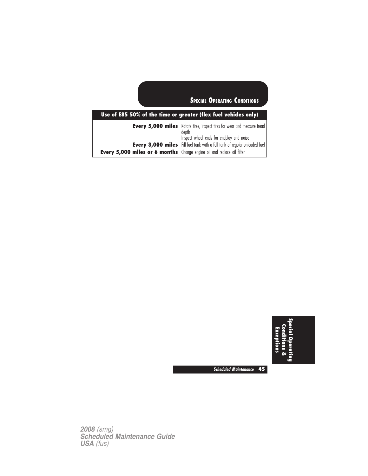# **Use of E85 50% of the time or greater (flex fuel vehicles only)**

|                                                                               | <b>Every 5,000 miles</b> Rotate tires, inspect tires for wear and measure tread<br>depth |
|-------------------------------------------------------------------------------|------------------------------------------------------------------------------------------|
|                                                                               | Inspect wheel ends for endplay and noise                                                 |
|                                                                               | Every 3,000 miles Fill fuel tank with a full tank of regular unleaded fuel               |
| <b>Every 5,000 miles or 6 months</b> Change engine oil and replace oil filter |                                                                                          |



**Scheduled Maintenance 45**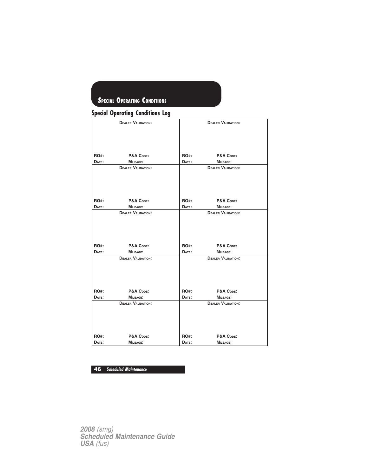## **Special Operating Conditions Log**

|             | <b>DEALER VALIDATION:</b> |             | <b>DEALER VALIDATION:</b> |
|-------------|---------------------------|-------------|---------------------------|
|             |                           |             |                           |
|             |                           |             |                           |
|             |                           |             |                           |
|             |                           |             |                           |
|             |                           |             |                           |
| RO#:        | P&A CODE:                 | RO#:        | P&A CODE:                 |
| DATE:       | <b>MILEAGE:</b>           | DATE:       | MILEAGE:                  |
|             | <b>DEALER VALIDATION:</b> |             | <b>DEALER VALIDATION:</b> |
|             |                           |             |                           |
|             |                           |             |                           |
|             |                           |             |                           |
|             |                           |             |                           |
| <b>RO#:</b> | P&A CODE:                 | RO#:        | P&A CODE:                 |
| DATE:       | <b>MILEAGE:</b>           | DATE:       | MILEAGE:                  |
|             | <b>DEALER VALIDATION:</b> |             | <b>DEALER VALIDATION:</b> |
|             |                           |             |                           |
|             |                           |             |                           |
|             |                           |             |                           |
|             |                           |             |                           |
|             |                           |             |                           |
| RO#:        | P&A CODE:                 | <b>RO#:</b> | P&A CODE:                 |
| DATE:       | <b>MILEAGE:</b>           | DATE:       | <b>MILEAGE:</b>           |
|             | <b>DEALER VALIDATION:</b> |             | <b>DEALER VALIDATION:</b> |
|             |                           |             |                           |
|             |                           |             |                           |
|             |                           |             |                           |
|             |                           |             |                           |
|             |                           |             |                           |
| RO#:        | P&A CODE:                 | RO#:        | P&A CODE:                 |
| DATE:       | MILEAGE:                  | DATE:       | <b>MILEAGE:</b>           |
|             | <b>DEALER VALIDATION:</b> |             | <b>DEALER VALIDATION:</b> |
|             |                           |             |                           |
|             |                           |             |                           |
|             |                           |             |                           |
|             |                           |             |                           |
| <b>RO#:</b> | P&A CODE:                 | <b>RO#:</b> | P&A CODE:                 |
| DATE:       | <b>MILEAGE:</b>           | DATE:       | <b>MILEAGE:</b>           |
|             |                           |             |                           |

# **46 Scheduled Maintenance**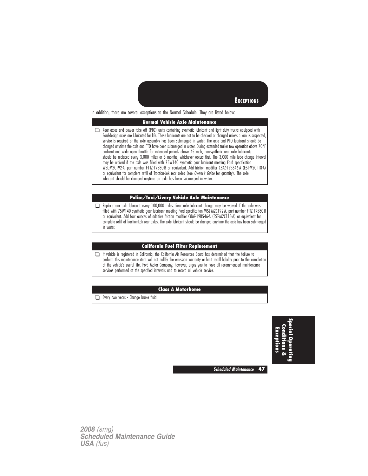

In addition, there are several exceptions to the Normal Schedule. They are listed below:

#### **Normal Vehicle Axle Maintenance**

❑ Rear axles and power take off (PTO) units containing synthetic lubricant and light duty trucks equipped with Ford-design axles are lubricated for life. These lubricants are not to be checked or changed unless a leak is suspected, service is required or the axle assembly has been submerged in water. The axle and PTO lubricant should be changed anytime the axle and PTO have been submerged in water. During extended trailer tow operation above 70°I ambient and wide open throttle for extended periods above 45 mph, non-synthetic rear axle lubricants should be replaced every 3,000 miles or 3 months, whichever occurs first. The 3,000 mile lube change interval may be waived if the axle was filled with 75W140 synthetic gear lubricant meeting Ford specification WSL-M2C192-A, part number F1TZ-19580-B or equivalent. Add friction modifier C8AZ-19B546-A (EST-M2C118-A) or equivalent for complete refill of Traction-Lok rear axles (see Owner's Guide for quantity). The axle lubricant should be changed anytime an axle has been submerged in water.

### **Police/Taxi/Livery Vehicle Axle Maintenance**

❑ Replace rear axle lubricant every 100,000 miles. Rear axle lubricant change may be waived if the axle was filled with 75W140 synthetic gear lubricant meeting Ford specification WSL-M2C192-A, part number FITZ-19580-B or equivalent. Add four ounces of additive friction modifier C8AZ-19B546-A (EST-M2C118-A) or equivalent for complete refill of Traction-Lok rear axles. The axle lubricant should be changed anytime the axle has been submerged in water.

#### **California Fuel Filter Replacement**

❑ If vehicle is registered in California, the California Air Resources Board has determined that the failure to perform this maintenance item will not nullify the emission warranty or limit recall liability prior to the completion of the vehicle's useful life. Ford Motor Company, however, urges you to have all recommended maintenance services performed at the specified intervals and to record all vehicle service.

#### **Class A Motorhome**

❑ Every two years - Change brake fluid

**SpecialOperating Conditions& Exceptions**

**Scheduled Maintenance 47**